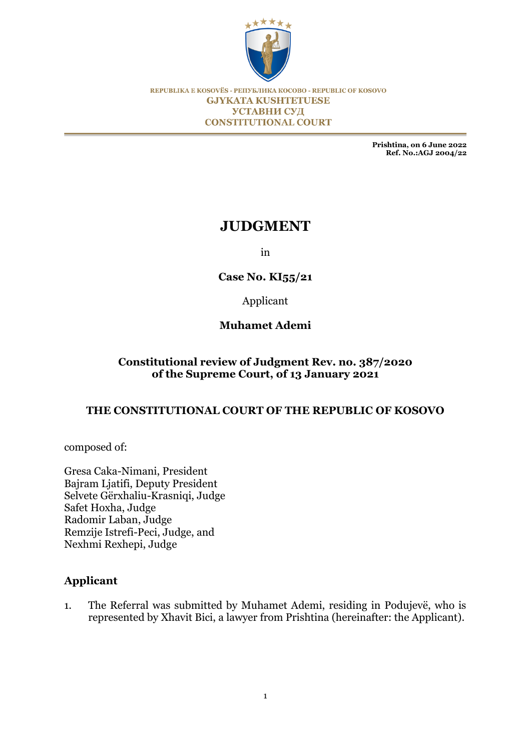

REPUBLIKA E KOSOVËS - РЕПУБЛИКА КОСОВО - REPUBLIC OF KOSOVO **GJYKATA KUSHTETUESE** УСТАВНИ СУД **CONSTITUTIONAL COURT** 

> **Prishtina, on 6 June 2022 Ref. No.:AGJ 2004/22**

# **JUDGMENT**

in

### **Case No. KI55/21**

Applicant

### **Muhamet Ademi**

### **Constitutional review of Judgment Rev. no. 387/2020 of the Supreme Court, of 13 January 2021**

#### **THE CONSTITUTIONAL COURT OF THE REPUBLIC OF KOSOVO**

composed of:

Gresa Caka-Nimani, President Bajram Ljatifi, Deputy President Selvete Gërxhaliu-Krasniqi, Judge Safet Hoxha, Judge Radomir Laban, Judge Remzije Istrefi-Peci, Judge, and Nexhmi Rexhepi, Judge

#### **Applicant**

1. The Referral was submitted by Muhamet Ademi, residing in Podujevë, who is represented by Xhavit Bici, a lawyer from Prishtina (hereinafter: the Applicant).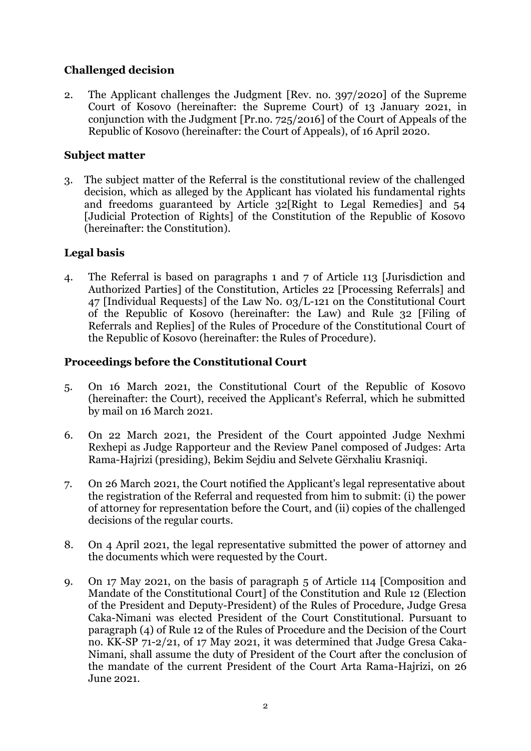# **Challenged decision**

2. The Applicant challenges the Judgment [Rev. no. 397/2020] of the Supreme Court of Kosovo (hereinafter: the Supreme Court) of 13 January 2021, in conjunction with the Judgment [Pr.no. 725/2016] of the Court of Appeals of the Republic of Kosovo (hereinafter: the Court of Appeals), of 16 April 2020.

## **Subject matter**

3. The subject matter of the Referral is the constitutional review of the challenged decision, which as alleged by the Applicant has violated his fundamental rights and freedoms guaranteed by Article 32[Right to Legal Remedies] and 54 [Judicial Protection of Rights] of the Constitution of the Republic of Kosovo (hereinafter: the Constitution).

### **Legal basis**

4. The Referral is based on paragraphs 1 and 7 of Article 113 [Jurisdiction and Authorized Parties] of the Constitution, Articles 22 [Processing Referrals] and 47 [Individual Requests] of the Law No. 03/L-121 on the Constitutional Court of the Republic of Kosovo (hereinafter: the Law) and Rule 32 [Filing of Referrals and Replies] of the Rules of Procedure of the Constitutional Court of the Republic of Kosovo (hereinafter: the Rules of Procedure).

### **Proceedings before the Constitutional Court**

- 5. On 16 March 2021, the Constitutional Court of the Republic of Kosovo (hereinafter: the Court), received the Applicant's Referral, which he submitted by mail on 16 March 2021.
- 6. On 22 March 2021, the President of the Court appointed Judge Nexhmi Rexhepi as Judge Rapporteur and the Review Panel composed of Judges: Arta Rama-Hajrizi (presiding), Bekim Sejdiu and Selvete Gërxhaliu Krasniqi.
- 7. On 26 March 2021, the Court notified the Applicant's legal representative about the registration of the Referral and requested from him to submit: (i) the power of attorney for representation before the Court, and (ii) copies of the challenged decisions of the regular courts.
- 8. On 4 April 2021, the legal representative submitted the power of attorney and the documents which were requested by the Court.
- 9. On 17 May 2021, on the basis of paragraph 5 of Article 114 [Composition and Mandate of the Constitutional Court] of the Constitution and Rule 12 (Election of the President and Deputy-President) of the Rules of Procedure, Judge Gresa Caka-Nimani was elected President of the Court Constitutional. Pursuant to paragraph (4) of Rule 12 of the Rules of Procedure and the Decision of the Court no. KK-SP 71-2/21, of 17 May 2021, it was determined that Judge Gresa Caka-Nimani, shall assume the duty of President of the Court after the conclusion of the mandate of the current President of the Court Arta Rama-Hajrizi, on 26 June 2021.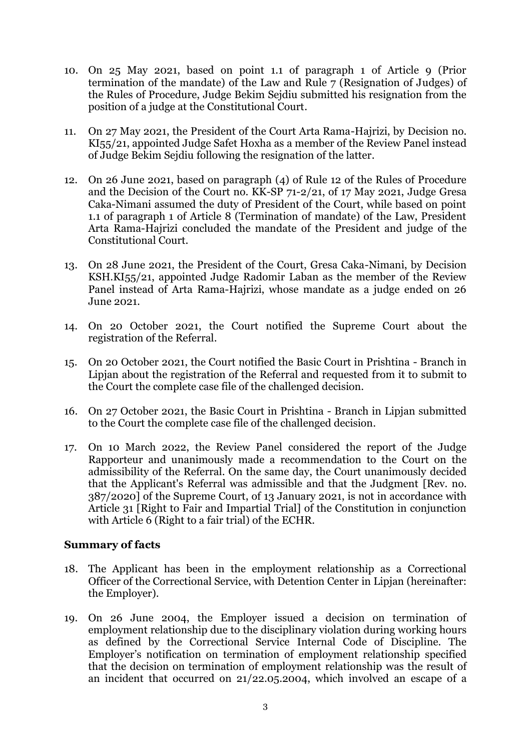- 10. On 25 May 2021, based on point 1.1 of paragraph 1 of Article 9 (Prior termination of the mandate) of the Law and Rule 7 (Resignation of Judges) of the Rules of Procedure, Judge Bekim Sejdiu submitted his resignation from the position of a judge at the Constitutional Court.
- 11. On 27 May 2021, the President of the Court Arta Rama-Hajrizi, by Decision no. KI55/21, appointed Judge Safet Hoxha as a member of the Review Panel instead of Judge Bekim Sejdiu following the resignation of the latter.
- 12. On 26 June 2021, based on paragraph (4) of Rule 12 of the Rules of Procedure and the Decision of the Court no. KK-SP 71-2/21, of 17 May 2021, Judge Gresa Caka-Nimani assumed the duty of President of the Court, while based on point 1.1 of paragraph 1 of Article 8 (Termination of mandate) of the Law, President Arta Rama-Hajrizi concluded the mandate of the President and judge of the Constitutional Court.
- 13. On 28 June 2021, the President of the Court, Gresa Caka-Nimani, by Decision KSH.KI55/21, appointed Judge Radomir Laban as the member of the Review Panel instead of Arta Rama-Hajrizi, whose mandate as a judge ended on 26 June 2021.
- 14. On 20 October 2021, the Court notified the Supreme Court about the registration of the Referral.
- 15. On 20 October 2021, the Court notified the Basic Court in Prishtina Branch in Lipjan about the registration of the Referral and requested from it to submit to the Court the complete case file of the challenged decision.
- 16. On 27 October 2021, the Basic Court in Prishtina Branch in Lipjan submitted to the Court the complete case file of the challenged decision.
- 17. On 10 March 2022, the Review Panel considered the report of the Judge Rapporteur and unanimously made a recommendation to the Court on the admissibility of the Referral. On the same day, the Court unanimously decided that the Applicant's Referral was admissible and that the Judgment [Rev. no. 387/2020] of the Supreme Court, of 13 January 2021, is not in accordance with Article 31 [Right to Fair and Impartial Trial] of the Constitution in conjunction with Article 6 (Right to a fair trial) of the ECHR.

#### **Summary of facts**

- 18. The Applicant has been in the employment relationship as a Correctional Officer of the Correctional Service, with Detention Center in Lipjan (hereinafter: the Employer).
- 19. On 26 June 2004, the Employer issued a decision on termination of employment relationship due to the disciplinary violation during working hours as defined by the Correctional Service Internal Code of Discipline. The Employer's notification on termination of employment relationship specified that the decision on termination of employment relationship was the result of an incident that occurred on 21/22.05.2004, which involved an escape of a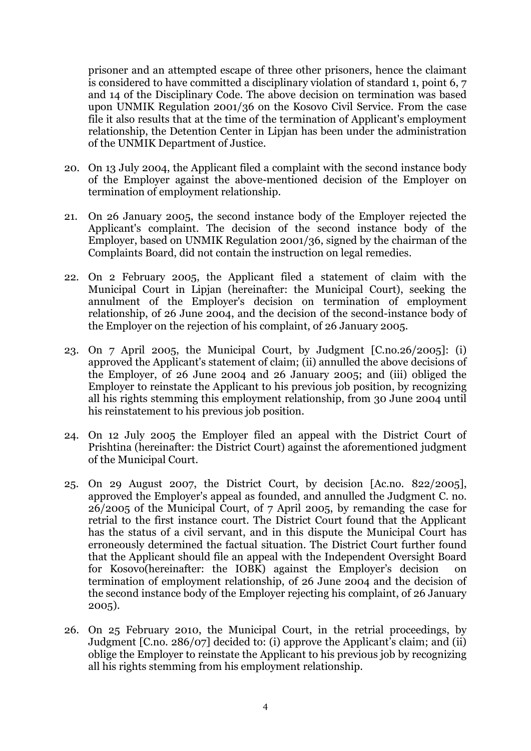prisoner and an attempted escape of three other prisoners, hence the claimant is considered to have committed a disciplinary violation of standard 1, point 6, 7 and 14 of the Disciplinary Code. The above decision on termination was based upon UNMIK Regulation 2001/36 on the Kosovo Civil Service. From the case file it also results that at the time of the termination of Applicant's employment relationship, the Detention Center in Lipjan has been under the administration of the UNMIK Department of Justice.

- 20. On 13 July 2004, the Applicant filed a complaint with the second instance body of the Employer against the above-mentioned decision of the Employer on termination of employment relationship.
- 21. On 26 January 2005, the second instance body of the Employer rejected the Applicant's complaint. The decision of the second instance body of the Employer, based on UNMIK Regulation 2001/36, signed by the chairman of the Complaints Board, did not contain the instruction on legal remedies.
- 22. On 2 February 2005, the Applicant filed a statement of claim with the Municipal Court in Lipjan (hereinafter: the Municipal Court), seeking the annulment of the Employer's decision on termination of employment relationship, of 26 June 2004, and the decision of the second-instance body of the Employer on the rejection of his complaint, of 26 January 2005.
- 23. On 7 April 2005, the Municipal Court, by Judgment [C.no.26/2005]: (i) approved the Applicant's statement of claim; (ii) annulled the above decisions of the Employer, of 26 June 2004 and 26 January 2005; and (iii) obliged the Employer to reinstate the Applicant to his previous job position, by recognizing all his rights stemming this employment relationship, from 30 June 2004 until his reinstatement to his previous job position.
- 24. On 12 July 2005 the Employer filed an appeal with the District Court of Prishtina (hereinafter: the District Court) against the aforementioned judgment of the Municipal Court.
- 25. On 29 August 2007, the District Court, by decision [Ac.no. 822/2005], approved the Employer's appeal as founded, and annulled the Judgment C. no. 26/2005 of the Municipal Court, of 7 April 2005, by remanding the case for retrial to the first instance court. The District Court found that the Applicant has the status of a civil servant, and in this dispute the Municipal Court has erroneously determined the factual situation. The District Court further found that the Applicant should file an appeal with the Independent Oversight Board for Kosovo(hereinafter: the IOBK) against the Employer's decision on termination of employment relationship, of 26 June 2004 and the decision of the second instance body of the Employer rejecting his complaint, of 26 January 2005).
- 26. On 25 February 2010, the Municipal Court, in the retrial proceedings, by Judgment [C.no. 286/07] decided to: (i) approve the Applicant's claim; and (ii) oblige the Employer to reinstate the Applicant to his previous job by recognizing all his rights stemming from his employment relationship.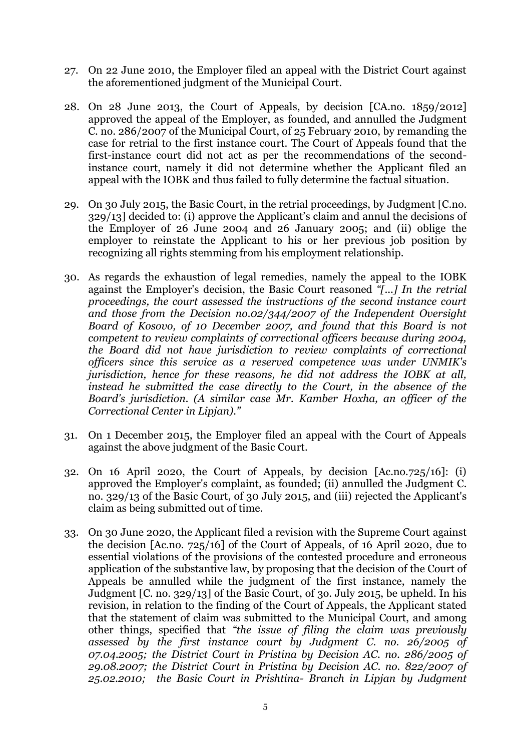- 27. On 22 June 2010, the Employer filed an appeal with the District Court against the aforementioned judgment of the Municipal Court.
- 28. On 28 June 2013, the Court of Appeals, by decision [CA.no. 1859/2012] approved the appeal of the Employer, as founded, and annulled the Judgment C. no. 286/2007 of the Municipal Court, of 25 February 2010, by remanding the case for retrial to the first instance court. The Court of Appeals found that the first-instance court did not act as per the recommendations of the secondinstance court, namely it did not determine whether the Applicant filed an appeal with the IOBK and thus failed to fully determine the factual situation.
- 29. On 30 July 2015, the Basic Court, in the retrial proceedings, by Judgment [C.no. 329/13] decided to: (i) approve the Applicant's claim and annul the decisions of the Employer of 26 June 2004 and 26 January 2005; and (ii) oblige the employer to reinstate the Applicant to his or her previous job position by recognizing all rights stemming from his employment relationship.
- 30. As regards the exhaustion of legal remedies, namely the appeal to the IOBK against the Employer's decision, the Basic Court reasoned *"[...] In the retrial proceedings, the court assessed the instructions of the second instance court and those from the Decision no.02/344/2007 of the Independent Oversight Board of Kosovo, of 10 December 2007, and found that this Board is not competent to review complaints of correctional officers because during 2004, the Board did not have jurisdiction to review complaints of correctional officers since this service as a reserved competence was under UNMIK's jurisdiction, hence for these reasons, he did not address the IOBK at all, instead he submitted the case directly to the Court, in the absence of the Board's jurisdiction. (A similar case Mr. Kamber Hoxha, an officer of the Correctional Center in Lipjan)."*
- 31. On 1 December 2015, the Employer filed an appeal with the Court of Appeals against the above judgment of the Basic Court.
- 32. On 16 April 2020, the Court of Appeals, by decision [Ac.no.725/16]: (i) approved the Employer's complaint, as founded; (ii) annulled the Judgment C. no. 329/13 of the Basic Court, of 30 July 2015, and (iii) rejected the Applicant's claim as being submitted out of time.
- 33. On 30 June 2020, the Applicant filed a revision with the Supreme Court against the decision [Ac.no. 725/16] of the Court of Appeals, of 16 April 2020, due to essential violations of the provisions of the contested procedure and erroneous application of the substantive law, by proposing that the decision of the Court of Appeals be annulled while the judgment of the first instance, namely the Judgment [C. no. 329/13] of the Basic Court, of 3o. July 2015, be upheld. In his revision, in relation to the finding of the Court of Appeals, the Applicant stated that the statement of claim was submitted to the Municipal Court, and among other things, specified that *"the issue of filing the claim was previously assessed by the first instance court by Judgment C. no. 26/2005 of 07.04.2005; the District Court in Pristina by Decision AC. no. 286/2005 of 29.08.2007; the District Court in Pristina by Decision AC. no. 822/2007 of 25.02.2010; the Basic Court in Prishtina- Branch in Lipjan by Judgment*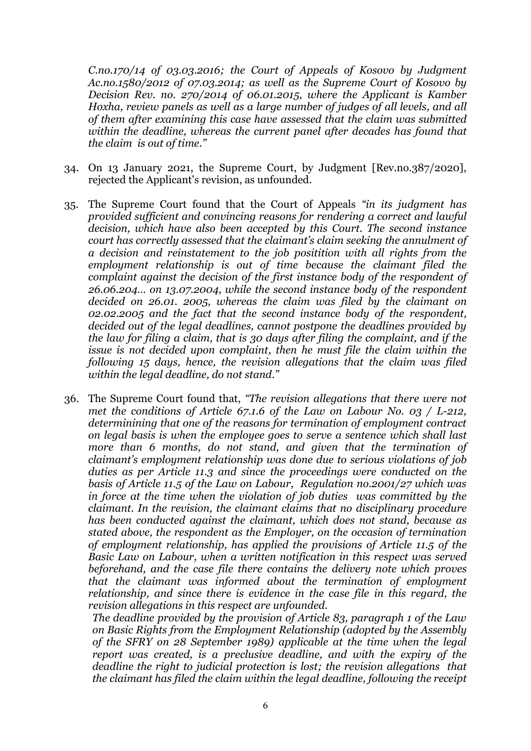*C.no.170/14 of 03.03.2016; the Court of Appeals of Kosovo by Judgment Ac.no.1580/2012 of 07.03.2014; as well as the Supreme Court of Kosovo by Decision Rev. no. 270/2014 of 06.01.2015, where the Applicant is Kamber Hoxha, review panels as well as a large number of judges of all levels, and all of them after examining this case have assessed that the claim was submitted within the deadline, whereas the current panel after decades has found that the claim is out of time."*

- 34. On 13 January 2021, the Supreme Court, by Judgment [Rev.no.387/2020], rejected the Applicant's revision, as unfounded.
- 35. The Supreme Court found that the Court of Appeals *"in its judgment has provided sufficient and convincing reasons for rendering a correct and lawful decision, which have also been accepted by this Court. The second instance court has correctly assessed that the claimant's claim seeking the annulment of a decision and reinstatement to the job positition with all rights from the employment relationship is out of time because the claimant filed the complaint against the decision of the first instance body of the respondent of 26.06.204… on 13.07.2004, while the second instance body of the respondent decided on 26.01. 2005, whereas the claim was filed by the claimant on 02.02.2005 and the fact that the second instance body of the respondent, decided out of the legal deadlines, cannot postpone the deadlines provided by the law for filing a claim, that is 30 days after filing the complaint, and if the issue is not decided upon complaint, then he must file the claim within the following 15 days, hence, the revision allegations that the claim was filed within the legal deadline, do not stand."*
- 36. The Supreme Court found that, *"The revision allegations that there were not met the conditions of Article 67.1.6 of the Law on Labour No. 03 / L-212, determinining that one of the reasons for termination of employment contract on legal basis is when the employee goes to serve a sentence which shall last more than 6 months, do not stand, and given that the termination of claimant's employment relationship was done due to serious violations of job duties as per Article 11.3 and since the proceedings were conducted on the basis of Article 11.5 of the Law on Labour, Regulation no.2001/27 which was in force at the time when the violation of job duties was committed by the claimant. In the revision, the claimant claims that no disciplinary procedure has been conducted against the claimant, which does not stand, because as stated above, the respondent as the Employer, on the occasion of termination of employment relationship, has applied the provisions of Article 11.5 of the Basic Law on Labour, when a written notification in this respect was served beforehand, and the case file there contains the delivery note which proves that the claimant was informed about the termination of employment relationship, and since there is evidence in the case file in this regard, the revision allegations in this respect are unfounded.*

*The deadline provided by the provision of Article 83, paragraph 1 of the Law on Basic Rights from the Employment Relationship (adopted by the Assembly of the SFRY on 28 September 1989) applicable at the time when the legal report was created, is a preclusive deadline, and with the expiry of the deadline the right to judicial protection is lost; the revision allegations that the claimant has filed the claim within the legal deadline, following the receipt*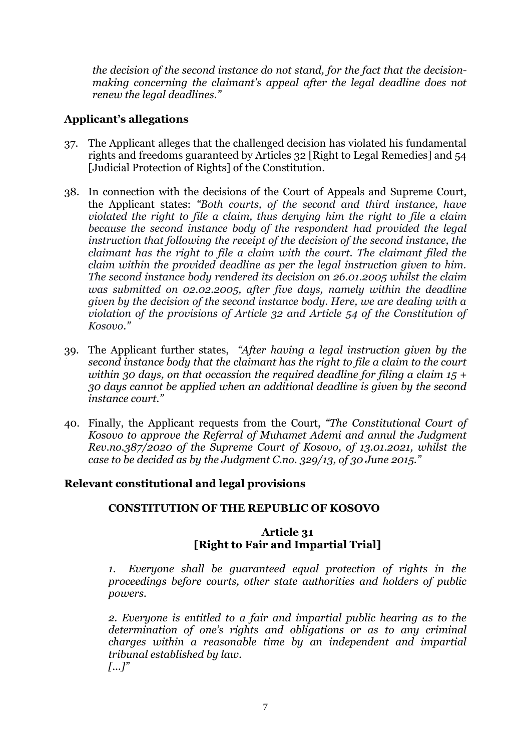*the decision of the second instance do not stand, for the fact that the decisionmaking concerning the claimant's appeal after the legal deadline does not renew the legal deadlines."*

#### **Applicant's allegations**

- 37. The Applicant alleges that the challenged decision has violated his fundamental rights and freedoms guaranteed by Articles 32 [Right to Legal Remedies] and 54 [Judicial Protection of Rights] of the Constitution.
- 38. In connection with the decisions of the Court of Appeals and Supreme Court, the Applicant states: *"Both courts, of the second and third instance, have violated the right to file a claim, thus denying him the right to file a claim because the second instance body of the respondent had provided the legal*  instruction that following the receipt of the decision of the second instance, the *claimant has the right to file a claim with the court. The claimant filed the claim within the provided deadline as per the legal instruction given to him. The second instance body rendered its decision on 26.01.2005 whilst the claim was submitted on 02.02.2005, after five days, namely within the deadline given by the decision of the second instance body. Here, we are dealing with a violation of the provisions of Article 32 and Article 54 of the Constitution of Kosovo."*
- 39. The Applicant further states, *"After having a legal instruction given by the second instance body that the claimant has the right to file a claim to the court within 30 days, on that occassion the required deadline for filing a claim 15 + 30 days cannot be applied when an additional deadline is given by the second instance court."*
- 40. Finally, the Applicant requests from the Court, *"The Constitutional Court of Kosovo to approve the Referral of Muhamet Ademi and annul the Judgment Rev.no.387/2020 of the Supreme Court of Kosovo, of 13.01.2021, whilst the case to be decided as by the Judgment C.no. 329/13, of 30 June 2015."*

#### **Relevant constitutional and legal provisions**

#### **CONSTITUTION OF THE REPUBLIC OF KOSOVO**

### **Article 31 [Right to Fair and Impartial Trial]**

*1. Everyone shall be guaranteed equal protection of rights in the proceedings before courts, other state authorities and holders of public powers.*

*2. Everyone is entitled to a fair and impartial public hearing as to the determination of one's rights and obligations or as to any criminal charges within a reasonable time by an independent and impartial tribunal established by law. [...]"*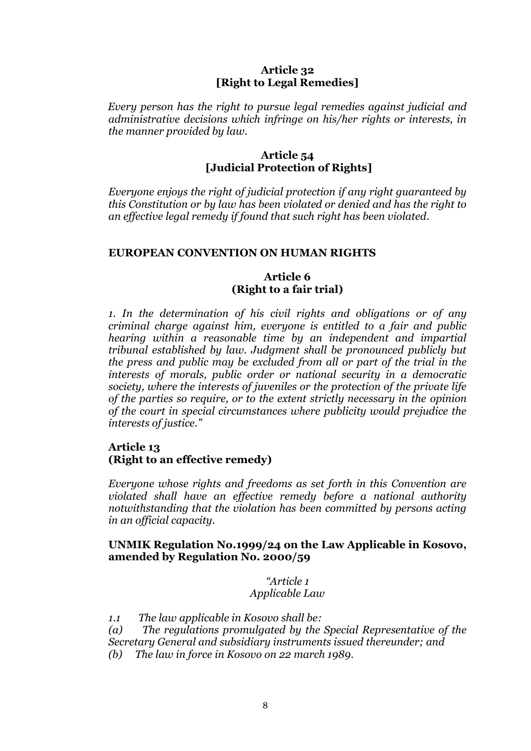#### **Article 32 [Right to Legal Remedies]**

 *Every person has the right to pursue legal remedies against judicial and administrative decisions which infringe on his/her rights or interests, in the manner provided by law.*

#### **Article 54 [Judicial Protection of Rights]**

*Everyone enjoys the right of judicial protection if any right guaranteed by this Constitution or by law has been violated or denied and has the right to an effective legal remedy if found that such right has been violated.* 

#### **EUROPEAN CONVENTION ON HUMAN RIGHTS**

#### **Article 6 (Right to a fair trial)**

*1. In the determination of his civil rights and obligations or of any criminal charge against him, everyone is entitled to a fair and public hearing within a reasonable time by an independent and impartial tribunal established by law. Judgment shall be pronounced publicly but the press and public may be excluded from all or part of the trial in the interests of morals, public order or national security in a democratic society, where the interests of juveniles or the protection of the private life of the parties so require, or to the extent strictly necessary in the opinion of the court in special circumstances where publicity would prejudice the interests of justice."*

#### **Article 13 (Right to an effective remedy)**

*Everyone whose rights and freedoms as set forth in this Convention are violated shall have an effective remedy before a national authority notwithstanding that the violation has been committed by persons acting in an official capacity.*

#### **UNMIK Regulation No.1999/24 on the Law Applicable in Kosovo, amended by Regulation No. 2000/59**

*"Article 1 Applicable Law*

*1.1 The law applicable in Kosovo shall be:*

*(a) The regulations promulgated by the Special Representative of the Secretary General and subsidiary instruments issued thereunder; and (b) The law in force in Kosovo on 22 march 1989.*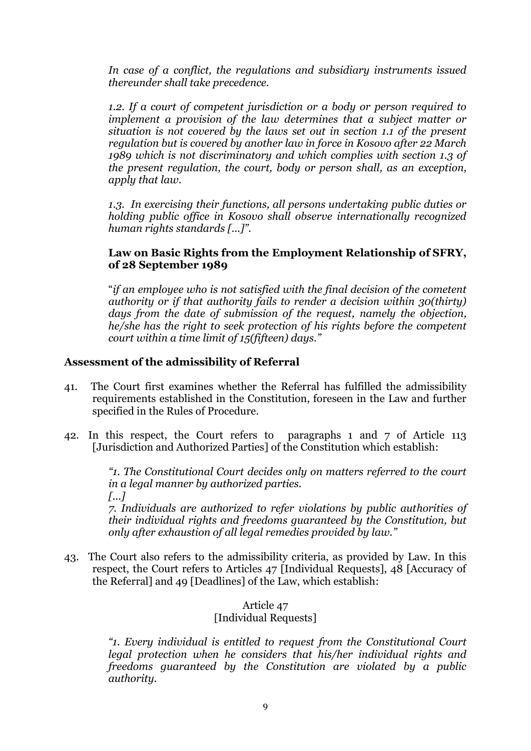*In case of a conflict, the regulations and subsidiary instruments issued thereunder shall take precedence.*

*1.2. If a court of competent jurisdiction or a body or person required to implement a provision of the law determines that a subject matter or situation is not covered by the laws set out in section 1.1 of the present regulation but is covered by another law in force in Kosovo after 22 March 1989 which is not discriminatory and which complies with section 1.3 of the present regulation, the court, body or person shall, as an exception, apply that law.* 

*1.3. In exercising their functions, all persons undertaking public duties or holding public office in Kosovo shall observe internationally recognized human rights standards [...]".*

#### **Law on Basic Rights from the Employment Relationship of SFRY, of 28 September 1989**

"*if an employee who is not satisfied with the final decision of the cometent authority or if that authority fails to render a decision within 30(thirty) days from the date of submission of the request, namely the objection, he/she has the right to seek protection of his rights before the competent court within a time limit of 15(fifteen) days."*

#### **Assessment of the admissibility of Referral**

- 41. The Court first examines whether the Referral has fulfilled the admissibility requirements established in the Constitution, foreseen in the Law and further specified in the Rules of Procedure.
- 42. In this respect, the Court refers to paragraphs 1 and 7 of Article 113 [Jurisdiction and Authorized Parties] of the Constitution which establish:

*"1. The Constitutional Court decides only on matters referred to the court in a legal manner by authorized parties. [...]*

*7. Individuals are authorized to refer violations by public authorities of their individual rights and freedoms guaranteed by the Constitution, but only after exhaustion of all legal remedies provided by law."*

43. The Court also refers to the admissibility criteria, as provided by Law. In this respect, the Court refers to Articles 47 [Individual Requests], 48 [Accuracy of the Referral] and 49 [Deadlines] of the Law, which establish:

#### Article 47 [Individual Requests]

*"1. Every individual is entitled to request from the Constitutional Court legal protection when he considers that his/her individual rights and freedoms guaranteed by the Constitution are violated by a public authority.*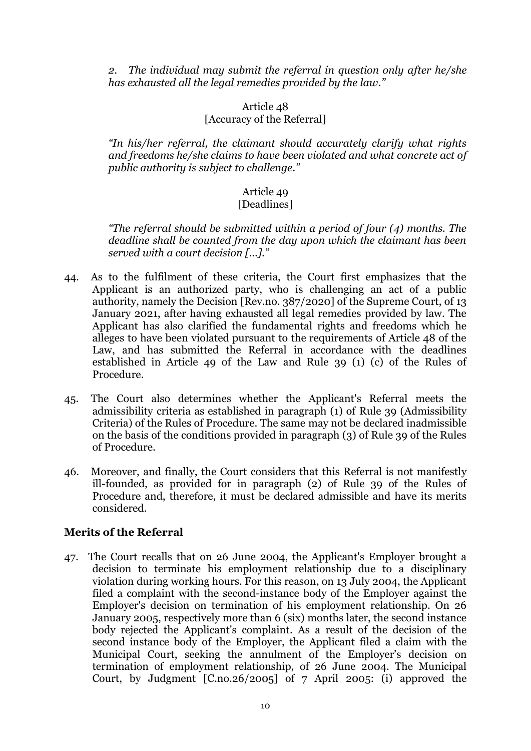*2. The individual may submit the referral in question only after he/she has exhausted all the legal remedies provided by the law."*

#### Article 48 [Accuracy of the Referral]

*"In his/her referral, the claimant should accurately clarify what rights and freedoms he/she claims to have been violated and what concrete act of public authority is subject to challenge."* 

# Article 49

# [Deadlines]

*"The referral should be submitted within a period of four (4) months. The deadline shall be counted from the day upon which the claimant has been served with a court decision [...]."*

- 44. As to the fulfilment of these criteria, the Court first emphasizes that the Applicant is an authorized party, who is challenging an act of a public authority, namely the Decision [Rev.no. 387/2020] of the Supreme Court, of 13 January 2021, after having exhausted all legal remedies provided by law. The Applicant has also clarified the fundamental rights and freedoms which he alleges to have been violated pursuant to the requirements of Article 48 of the Law, and has submitted the Referral in accordance with the deadlines established in Article 49 of the Law and Rule 39 (1) (c) of the Rules of Procedure.
- 45. The Court also determines whether the Applicant's Referral meets the admissibility criteria as established in paragraph (1) of Rule 39 (Admissibility Criteria) of the Rules of Procedure. The same may not be declared inadmissible on the basis of the conditions provided in paragraph (3) of Rule 39 of the Rules of Procedure.
- 46. Moreover, and finally, the Court considers that this Referral is not manifestly ill-founded, as provided for in paragraph (2) of Rule 39 of the Rules of Procedure and, therefore, it must be declared admissible and have its merits considered.

#### **Merits of the Referral**

47. The Court recalls that on 26 June 2004, the Applicant's Employer brought a decision to terminate his employment relationship due to a disciplinary violation during working hours. For this reason, on 13 July 2004, the Applicant filed a complaint with the second-instance body of the Employer against the Employer's decision on termination of his employment relationship. On 26 January 2005, respectively more than 6 (six) months later, the second instance body rejected the Applicant's complaint. As a result of the decision of the second instance body of the Employer, the Applicant filed a claim with the Municipal Court, seeking the annulment of the Employer's decision on termination of employment relationship, of 26 June 2004. The Municipal Court, by Judgment [C.no.26/2005] of 7 April 2005: (i) approved the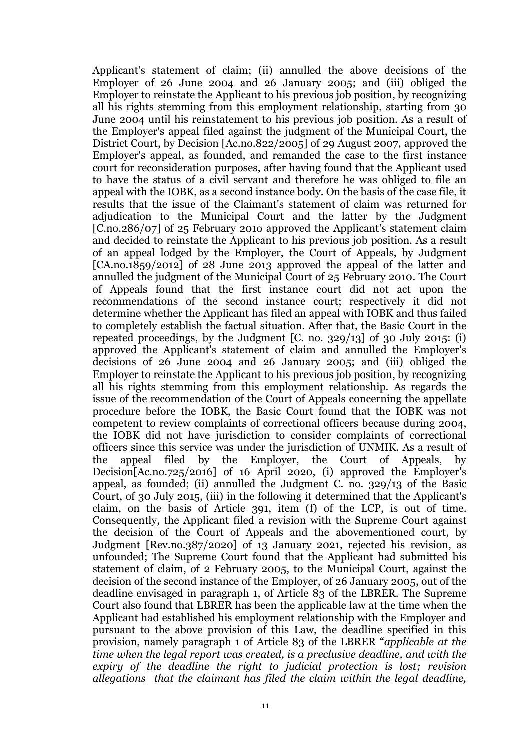Applicant's statement of claim; (ii) annulled the above decisions of the Employer of 26 June 2004 and 26 January 2005; and (iii) obliged the Employer to reinstate the Applicant to his previous job position, by recognizing all his rights stemming from this employment relationship, starting from 30 June 2004 until his reinstatement to his previous job position. As a result of the Employer's appeal filed against the judgment of the Municipal Court, the District Court, by Decision [Ac.no.822/2005] of 29 August 2007, approved the Employer's appeal, as founded, and remanded the case to the first instance court for reconsideration purposes, after having found that the Applicant used to have the status of a civil servant and therefore he was obliged to file an appeal with the IOBK, as a second instance body. On the basis of the case file, it results that the issue of the Claimant's statement of claim was returned for adjudication to the Municipal Court and the latter by the Judgment [C.no.286/07] of 25 February 201o approved the Applicant's statement claim and decided to reinstate the Applicant to his previous job position. As a result of an appeal lodged by the Employer, the Court of Appeals, by Judgment [CA.no.1859/2012] of 28 June 2013 approved the appeal of the latter and annulled the judgment of the Municipal Court of 25 February 2010. The Court of Appeals found that the first instance court did not act upon the recommendations of the second instance court; respectively it did not determine whether the Applicant has filed an appeal with IOBK and thus failed to completely establish the factual situation. After that, the Basic Court in the repeated proceedings, by the Judgment  $[C, no. 329/13]$  of 30 July 2015: (i) approved the Applicant's statement of claim and annulled the Employer's decisions of 26 June 2004 and 26 January 2005; and (iii) obliged the Employer to reinstate the Applicant to his previous job position, by recognizing all his rights stemming from this employment relationship. As regards the issue of the recommendation of the Court of Appeals concerning the appellate procedure before the IOBK, the Basic Court found that the IOBK was not competent to review complaints of correctional officers because during 2004, the IOBK did not have jurisdiction to consider complaints of correctional officers since this service was under the jurisdiction of UNMIK. As a result of the appeal filed by the Employer, the Court of Appeals, by Decision[Ac.no.725/2016] of 16 April 2020, (i) approved the Employer's appeal, as founded; (ii) annulled the Judgment C. no. 329/13 of the Basic Court, of 30 July 2015, (iii) in the following it determined that the Applicant's claim, on the basis of Article 391, item (f) of the LCP, is out of time. Consequently, the Applicant filed a revision with the Supreme Court against the decision of the Court of Appeals and the abovementioned court, by Judgment [Rev.no.387/2020] of 13 January 2021, rejected his revision, as unfounded; The Supreme Court found that the Applicant had submitted his statement of claim, of 2 February 2005, to the Municipal Court, against the decision of the second instance of the Employer, of 26 January 2005, out of the deadline envisaged in paragraph 1, of Article 83 of the LBRER. The Supreme Court also found that LBRER has been the applicable law at the time when the Applicant had established his employment relationship with the Employer and pursuant to the above provision of this Law, the deadline specified in this provision, namely paragraph 1 of Article 83 of the LBRER "*applicable at the time when the legal report was created, is a preclusive deadline, and with the expiry of the deadline the right to judicial protection is lost; revision allegations that the claimant has filed the claim within the legal deadline,*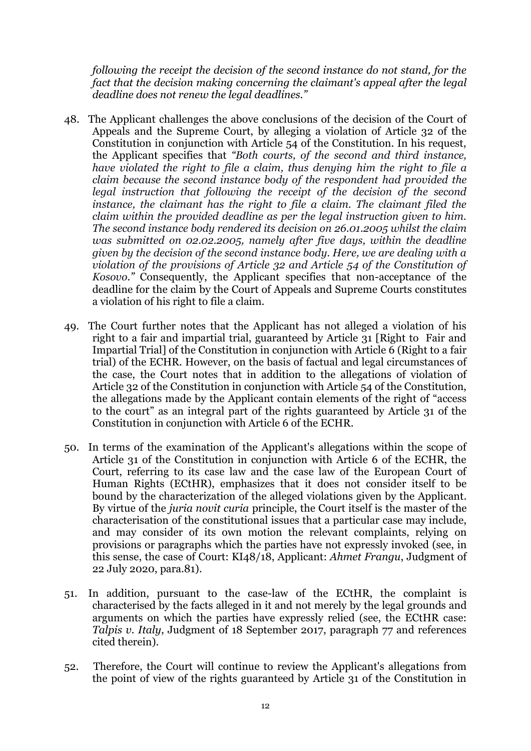*following the receipt the decision of the second instance do not stand, for the fact that the decision making concerning the claimant's appeal after the legal deadline does not renew the legal deadlines."*

- 48. The Applicant challenges the above conclusions of the decision of the Court of Appeals and the Supreme Court, by alleging a violation of Article 32 of the Constitution in conjunction with Article 54 of the Constitution. In his request, the Applicant specifies that *"Both courts, of the second and third instance, have violated the right to file a claim, thus denying him the right to file a claim because the second instance body of the respondent had provided the legal instruction that following the receipt of the decision of the second instance, the claimant has the right to file a claim. The claimant filed the claim within the provided deadline as per the legal instruction given to him. The second instance body rendered its decision on 26.01.2005 whilst the claim was submitted on 02.02.2005, namely after five days, within the deadline given by the decision of the second instance body. Here, we are dealing with a violation of the provisions of Article 32 and Article 54 of the Constitution of Kosovo."* Consequently, the Applicant specifies that non-acceptance of the deadline for the claim by the Court of Appeals and Supreme Courts constitutes a violation of his right to file a claim.
- 49. The Court further notes that the Applicant has not alleged a violation of his right to a fair and impartial trial, guaranteed by Article 31 [Right to Fair and Impartial Trial] of the Constitution in conjunction with Article 6 (Right to a fair trial) of the ECHR. However, on the basis of factual and legal circumstances of the case, the Court notes that in addition to the allegations of violation of Article 32 of the Constitution in conjunction with Article 54 of the Constitution, the allegations made by the Applicant contain elements of the right of "access to the court" as an integral part of the rights guaranteed by Article 31 of the Constitution in conjunction with Article 6 of the ECHR.
- 50. In terms of the examination of the Applicant's allegations within the scope of Article 31 of the Constitution in conjunction with Article 6 of the ECHR, the Court, referring to its case law and the case law of the European Court of Human Rights (ECtHR), emphasizes that it does not consider itself to be bound by the characterization of the alleged violations given by the Applicant. By virtue of the *juria novit curia* principle, the Court itself is the master of the characterisation of the constitutional issues that a particular case may include, and may consider of its own motion the relevant complaints, relying on provisions or paragraphs which the parties have not expressly invoked (see, in this sense, the case of Court: KI48/18, Applicant: *Ahmet Frangu*, Judgment of 22 July 2020, para.81).
- 51. In addition, pursuant to the case-law of the ECtHR, the complaint is characterised by the facts alleged in it and not merely by the legal grounds and arguments on which the parties have expressly relied (see, the ECtHR case: *Talpis v. Italy*, Judgment of 18 September 2017, paragraph 77 and references cited therein).
- 52. Therefore, the Court will continue to review the Applicant's allegations from the point of view of the rights guaranteed by Article 31 of the Constitution in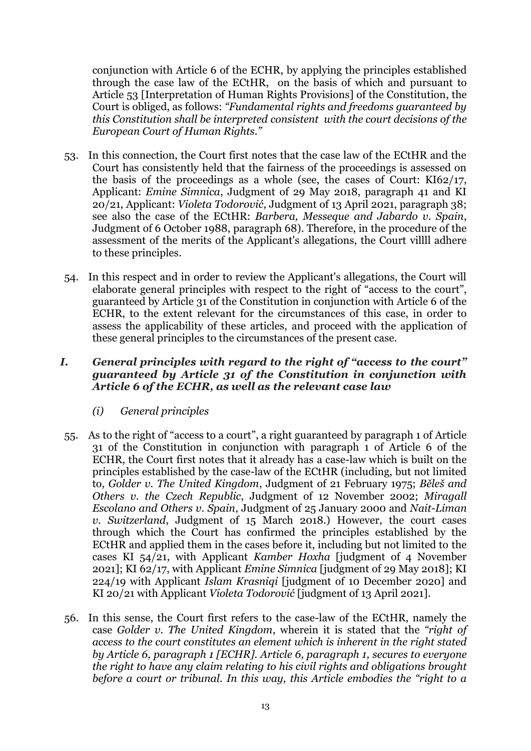conjunction with Article 6 of the ECHR, by applying the principles established through the case law of the ECtHR, on the basis of which and pursuant to Article 53 [Interpretation of Human Rights Provisions] of the Constitution, the Court is obliged, as follows: *"Fundamental rights and freedoms guaranteed by this Constitution shall be interpreted consistent with the court decisions of the European Court of Human Rights."*

- 53. In this connection, the Court first notes that the case law of the ECtHR and the Court has consistently held that the fairness of the proceedings is assessed on the basis of the proceedings as a whole (see, the cases of Court: KI62/17, Applicant: *Emine Simnica*, Judgment of 29 May 2018, paragraph 41 and KI 20/21, Applicant: *Violeta Todorović*, Judgment of 13 April 2021, paragraph 38; see also the case of the ECtHR: *Barbera, Messeque and Jabardo v. Spain*, Judgment of 6 October 1988, paragraph 68). Therefore, in the procedure of the assessment of the merits of the Applicant's allegations, the Court villll adhere to these principles.
- 54. In this respect and in order to review the Applicant's allegations, the Court will elaborate general principles with respect to the right of "access to the court", guaranteed by Article 31 of the Constitution in conjunction with Article 6 of the ECHR, to the extent relevant for the circumstances of this case, in order to assess the applicability of these articles, and proceed with the application of these general principles to the circumstances of the present case.

### *I. General principles with regard to the right of "access to the court" guaranteed by Article 31 of the Constitution in conjunction with Article 6 of the ECHR, as well as the relevant case law*

- *(i) General principles*
- 55. As to the right of "access to a court", a right guaranteed by paragraph 1 of Article 31 of the Constitution in conjunction with paragraph 1 of Article 6 of the ECHR, the Court first notes that it already has a case-law which is built on the principles established by the case-law of the ECtHR (including, but not limited to, *Golder v. The United Kingdom*, Judgment of 21 February 1975; *Běleš and Others v. the Czech Republic*, Judgment of 12 November 2002; *Miragall Escolano and Others v. Spain*, Judgment of 25 January 2000 and *Nait-Liman v. Switzerland*, Judgment of 15 March 2018.) However, the court cases through which the Court has confirmed the principles established by the ECtHR and applied them in the cases before it, including but not limited to the cases KI 54/21, with Applicant *Kamber Hoxha* [judgment of 4 November 2021]; KI 62/17, with Applicant *Emine Simnica* [judgment of 29 May 2018]; KI 224/19 with Applicant *Islam Krasniqi* [judgment of 10 December 2020] and KI 20/21 with Applicant *Violeta Todorović* [judgment of 13 April 2021].
- 56. In this sense, the Court first refers to the case-law of the ECtHR, namely the case *Golder v. The United Kingdom*, wherein it is stated that the *"right of access to the court constitutes an element which is inherent in the right stated by Article 6, paragraph 1 [ECHR]. Article 6, paragraph 1, secures to everyone the right to have any claim relating to his civil rights and obligations brought before a court or tribunal. In this way, this Article embodies the "right to a*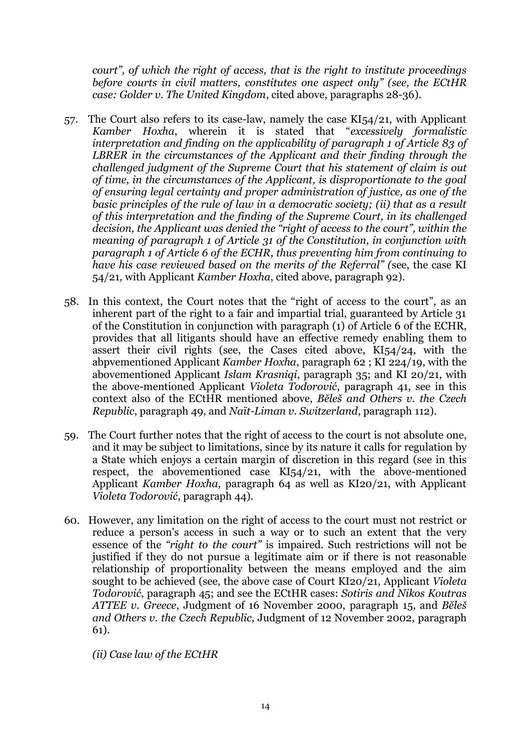*court", of which the right of access, that is the right to institute proceedings before courts in civil matters, constitutes one aspect only" (see, the ECtHR case: Golder v. The United Kingdom*, cited above, paragraphs 28-36).

- 57. The Court also refers to its case-law, namely the case KI54/21, with Applicant *Kamber Hoxha*, wherein it is stated that "*excessively formalistic interpretation and finding on the applicability of paragraph 1 of Article 83 of LBRER in the circumstances of the Applicant and their finding through the challenged judgment of the Supreme Court that his statement of claim is out of time, in the circumstances of the Applicant, is disproportionate to the goal of ensuring legal certainty and proper administration of justice, as one of the basic principles of the rule of law in a democratic society; (ii) that as a result of this interpretation and the finding of the Supreme Court, in its challenged decision, the Applicant was denied the "right of access to the court", within the meaning of paragraph 1 of Article 31 of the Constitution, in conjunction with paragraph 1 of Article 6 of the ECHR, thus preventing him from continuing to have his case reviewed based on the merits of the Referral" (*see, the case KI 54/21*,* with Applicant *Kamber Hoxha*, cited above, paragraph 92).
- 58. In this context, the Court notes that the "right of access to the court", as an inherent part of the right to a fair and impartial trial, guaranteed by Article 31 of the Constitution in conjunction with paragraph (1) of Article 6 of the ECHR, provides that all litigants should have an effective remedy enabling them to assert their civil rights (see, the Cases cited above, KI54/24, with the abpvementioned Applicant *Kamber Hoxha*, paragraph 62 ; KI 224/19, with the abovementioned Applicant *Islam Krasniqi*, paragraph 35; and KI 20/21, with the above-mentioned Applicant *Violeta Todorović*, paragraph 41, see in this context also of the ECtHR mentioned above, *Běleš and Others v. the Czech Republic*, paragraph 49, and *Naït-Liman v. Switzerland*, paragraph 112).
- 59. The Court further notes that the right of access to the court is not absolute one, and it may be subject to limitations, since by its nature it calls for regulation by a State which enjoys a certain margin of discretion in this regard (see in this respect, the abovementioned case KI54/21, with the above-mentioned Applicant *Kamber Hoxha*, paragraph 64 as well as KI20/21, with Applicant *Violeta Todorović*, paragraph 44).
- 60. However, any limitation on the right of access to the court must not restrict or reduce a person's access in such a way or to such an extent that the very essence of the *"right to the court"* is impaired. Such restrictions will not be justified if they do not pursue a legitimate aim or if there is not reasonable relationship of proportionality between the means employed and the aim sought to be achieved (see, the above case of Court KI20/21, Applicant *Violeta Todorović*, paragraph 45; and see the ECtHR cases: *Sotiris and Nikos Koutras ATTEE v. Greece*, Judgment of 16 November 2000, paragraph 15, and *Běleš and Others v. the Czech Republic*, Judgment of 12 November 2002, paragraph 61).

*(ii) Case law of the ECtHR*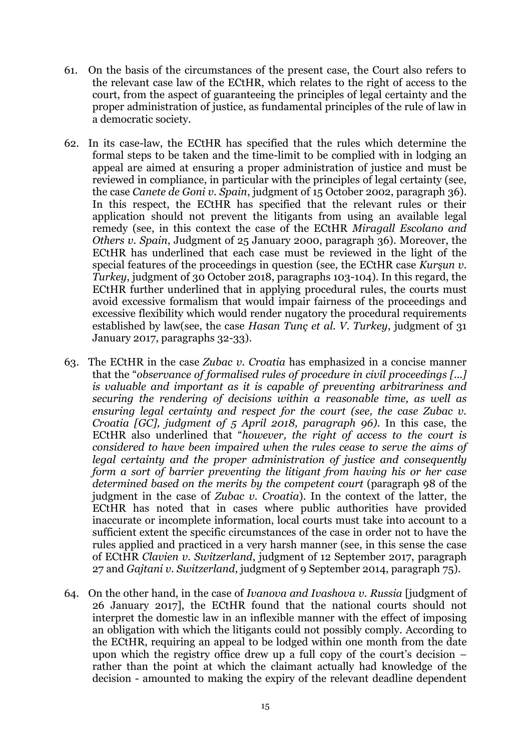- 61. On the basis of the circumstances of the present case, the Court also refers to the relevant case law of the ECtHR, which relates to the right of access to the court, from the aspect of guaranteeing the principles of legal certainty and the proper administration of justice, as fundamental principles of the rule of law in a democratic society.
- 62. In its case-law, the ECtHR has specified that the rules which determine the formal steps to be taken and the time-limit to be complied with in lodging an appeal are aimed at ensuring a proper administration of justice and must be reviewed in compliance, in particular with the principles of legal certainty (see, the case *Canete de Goni v. Spain*, judgment of 15 October 2002, paragraph 36). In this respect, the ECtHR has specified that the relevant rules or their application should not prevent the litigants from using an available legal remedy (see, in this context the case of the ECtHR *Miragall Escolano and Others v. Spain*, Judgment of 25 January 2000, paragraph 36). Moreover, the ECtHR has underlined that each case must be reviewed in the light of the special features of the proceedings in question (see, the ECtHR case *Kurşun v. Turkey*, judgment of 30 October 2018, paragraphs 103-104). In this regard, the ECtHR further underlined that in applying procedural rules, the courts must avoid excessive formalism that would impair fairness of the proceedings and excessive flexibility which would render nugatory the procedural requirements established by law(see, the case *Hasan Tunç et al. V. Turkey*, judgment of 31 January 2017, paragraphs 32-33).
- 63. The ECtHR in the case *Zubac v. Croatia* has emphasized in a concise manner that the "*observance of formalised rules of procedure in civil proceedings [...] is valuable and important as it is capable of preventing arbitrariness and securing the rendering of decisions within a reasonable time, as well as ensuring legal certainty and respect for the court (see, the case Zubac v. Croatia [GC], judgment of 5 April 2018, paragraph 96)*. In this case, the ECtHR also underlined that "*however, the right of access to the court is considered to have been impaired when the rules cease to serve the aims of legal certainty and the proper administration of justice and consequently form a sort of barrier preventing the litigant from having his or her case determined based on the merits by the competent court* (paragraph 98 of the judgment in the case of *Zubac v. Croatia*). In the context of the latter, the ECtHR has noted that in cases where public authorities have provided inaccurate or incomplete information, local courts must take into account to a sufficient extent the specific circumstances of the case in order not to have the rules applied and practiced in a very harsh manner (see, in this sense the case of ECtHR *Clavien v. Switzerland*, judgment of 12 September 2017, paragraph 27 and *Gajtani v. Switzerland*, judgment of 9 September 2014, paragraph 75).
- 64. On the other hand, in the case of *Ivanova and Ivashova v. Russia* [judgment of 26 January 2017], the ECtHR found that the national courts should not interpret the domestic law in an inflexible manner with the effect of imposing an obligation with which the litigants could not possibly comply. According to the ECtHR, requiring an appeal to be lodged within one month from the date upon which the registry office drew up a full copy of the court's decision – rather than the point at which the claimant actually had knowledge of the decision - amounted to making the expiry of the relevant deadline dependent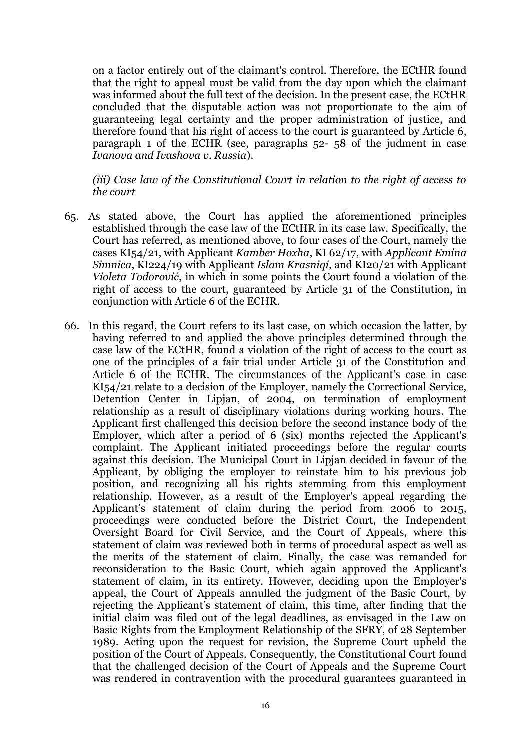on a factor entirely out of the claimant's control. Therefore, the ECtHR found that the right to appeal must be valid from the day upon which the claimant was informed about the full text of the decision. In the present case, the ECtHR concluded that the disputable action was not proportionate to the aim of guaranteeing legal certainty and the proper administration of justice, and therefore found that his right of access to the court is guaranteed by Article 6, paragraph 1 of the ECHR (see, paragraphs 52- 58 of the judment in case *Ivanova and Ivashova v. Russia*).

*(iii) Case law of the Constitutional Court in relation to the right of access to the court*

- 65. As stated above, the Court has applied the aforementioned principles established through the case law of the ECtHR in its case law. Specifically, the Court has referred, as mentioned above, to four cases of the Court, namely the cases KI54/21, with Applicant *Kamber Hoxha*, KI 62/17, with *Applicant Emina Simnica*, KI224/19 with Applicant *Islam Krasniqi*, and KI20/21 with Applicant *Violeta Todorović*, in which in some points the Court found a violation of the right of access to the court, guaranteed by Article 31 of the Constitution, in conjunction with Article 6 of the ECHR.
- 66. In this regard, the Court refers to its last case, on which occasion the latter, by having referred to and applied the above principles determined through the case law of the ECtHR, found a violation of the right of access to the court as one of the principles of a fair trial under Article 31 of the Constitution and Article 6 of the ECHR. The circumstances of the Applicant's case in case KI54/21 relate to a decision of the Employer, namely the Correctional Service, Detention Center in Lipjan, of 2004, on termination of employment relationship as a result of disciplinary violations during working hours. The Applicant first challenged this decision before the second instance body of the Employer, which after a period of 6 (six) months rejected the Applicant's complaint. The Applicant initiated proceedings before the regular courts against this decision. The Municipal Court in Lipjan decided in favour of the Applicant, by obliging the employer to reinstate him to his previous job position, and recognizing all his rights stemming from this employment relationship. However, as a result of the Employer's appeal regarding the Applicant's statement of claim during the period from 2006 to 2015, proceedings were conducted before the District Court, the Independent Oversight Board for Civil Service, and the Court of Appeals, where this statement of claim was reviewed both in terms of procedural aspect as well as the merits of the statement of claim. Finally, the case was remanded for reconsideration to the Basic Court, which again approved the Applicant's statement of claim, in its entirety. However, deciding upon the Employer's appeal, the Court of Appeals annulled the judgment of the Basic Court, by rejecting the Applicant's statement of claim, this time, after finding that the initial claim was filed out of the legal deadlines, as envisaged in the Law on Basic Rights from the Employment Relationship of the SFRY, of 28 September 1989. Acting upon the request for revision, the Supreme Court upheld the position of the Court of Appeals. Consequently, the Constitutional Court found that the challenged decision of the Court of Appeals and the Supreme Court was rendered in contravention with the procedural guarantees guaranteed in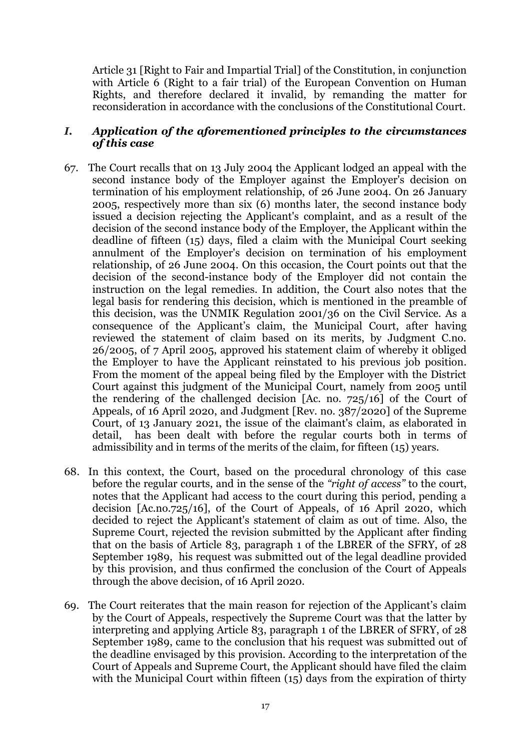Article 31 [Right to Fair and Impartial Trial] of the Constitution, in conjunction with Article 6 (Right to a fair trial) of the European Convention on Human Rights, and therefore declared it invalid, by remanding the matter for reconsideration in accordance with the conclusions of the Constitutional Court.

#### *I. Application of the aforementioned principles to the circumstances of this case*

- 67. The Court recalls that on 13 July 2004 the Applicant lodged an appeal with the second instance body of the Employer against the Employer's decision on termination of his employment relationship, of 26 June 2004. On 26 January 2005, respectively more than six (6) months later, the second instance body issued a decision rejecting the Applicant's complaint, and as a result of the decision of the second instance body of the Employer, the Applicant within the deadline of fifteen (15) days, filed a claim with the Municipal Court seeking annulment of the Employer's decision on termination of his employment relationship, of 26 June 2004. On this occasion, the Court points out that the decision of the second-instance body of the Employer did not contain the instruction on the legal remedies. In addition, the Court also notes that the legal basis for rendering this decision, which is mentioned in the preamble of this decision, was the UNMIK Regulation 2001/36 on the Civil Service. As a consequence of the Applicant's claim, the Municipal Court, after having reviewed the statement of claim based on its merits, by Judgment C.no. 26/2005, of 7 April 2005, approved his statement claim of whereby it obliged the Employer to have the Applicant reinstated to his previous job position. From the moment of the appeal being filed by the Employer with the District Court against this judgment of the Municipal Court, namely from 2005 until the rendering of the challenged decision [Ac. no. 725/16] of the Court of Appeals, of 16 April 2020, and Judgment [Rev. no. 387/2020] of the Supreme Court, of 13 January 2021, the issue of the claimant's claim, as elaborated in detail, has been dealt with before the regular courts both in terms of admissibility and in terms of the merits of the claim, for fifteen (15) years.
- 68. In this context, the Court, based on the procedural chronology of this case before the regular courts, and in the sense of the *"right of access"* to the court, notes that the Applicant had access to the court during this period, pending a decision [Ac.no.725/16], of the Court of Appeals, of 16 April 2020, which decided to reject the Applicant's statement of claim as out of time. Also, the Supreme Court, rejected the revision submitted by the Applicant after finding that on the basis of Article 83, paragraph 1 of the LBRER of the SFRY, of 28 September 1989, his request was submitted out of the legal deadline provided by this provision, and thus confirmed the conclusion of the Court of Appeals through the above decision, of 16 April 2020.
- 69. The Court reiterates that the main reason for rejection of the Applicant's claim by the Court of Appeals, respectively the Supreme Court was that the latter by interpreting and applying Article 83, paragraph 1 of the LBRER of SFRY, of 28 September 1989, came to the conclusion that his request was submitted out of the deadline envisaged by this provision. According to the interpretation of the Court of Appeals and Supreme Court, the Applicant should have filed the claim with the Municipal Court within fifteen (15) days from the expiration of thirty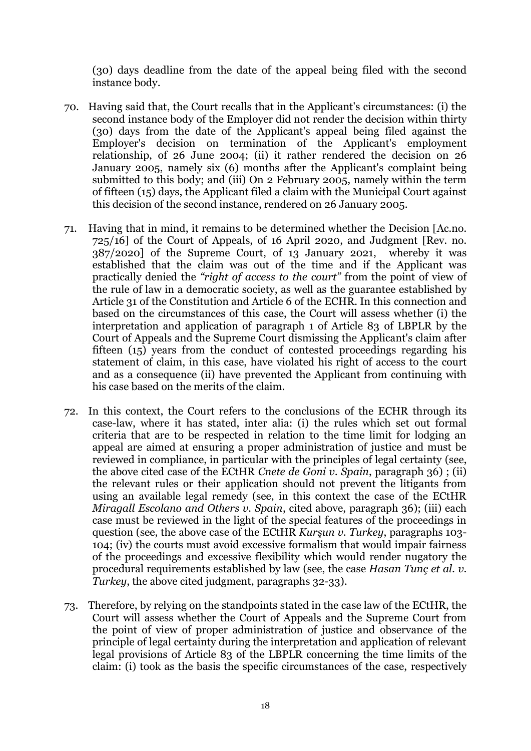(30) days deadline from the date of the appeal being filed with the second instance body.

- 70. Having said that, the Court recalls that in the Applicant's circumstances: (i) the second instance body of the Employer did not render the decision within thirty (30) days from the date of the Applicant's appeal being filed against the Employer's decision on termination of the Applicant's employment relationship, of 26 June 2004; (ii) it rather rendered the decision on 26 January 2005, namely six (6) months after the Applicant's complaint being submitted to this body; and (iii) On 2 February 2005, namely within the term of fifteen (15) days, the Applicant filed a claim with the Municipal Court against this decision of the second instance, rendered on 26 January 2005.
- 71. Having that in mind, it remains to be determined whether the Decision [Ac.no. 725/16] of the Court of Appeals, of 16 April 2020, and Judgment [Rev. no. 387/2020] of the Supreme Court, of 13 January 2021, whereby it was established that the claim was out of the time and if the Applicant was practically denied the *"right of access to the court"* from the point of view of the rule of law in a democratic society, as well as the guarantee established by Article 31 of the Constitution and Article 6 of the ECHR. In this connection and based on the circumstances of this case, the Court will assess whether (i) the interpretation and application of paragraph 1 of Article 83 of LBPLR by the Court of Appeals and the Supreme Court dismissing the Applicant's claim after fifteen  $(15)$  years from the conduct of contested proceedings regarding his statement of claim, in this case, have violated his right of access to the court and as a consequence (ii) have prevented the Applicant from continuing with his case based on the merits of the claim.
- 72. In this context, the Court refers to the conclusions of the ECHR through its case-law, where it has stated, inter alia: (i) the rules which set out formal criteria that are to be respected in relation to the time limit for lodging an appeal are aimed at ensuring a proper administration of justice and must be reviewed in compliance, in particular with the principles of legal certainty (see, the above cited case of the ECtHR *Cnete de Goni v. Spain*, paragraph 36) ; (ii) the relevant rules or their application should not prevent the litigants from using an available legal remedy (see, in this context the case of the ECtHR *Miragall Escolano and Others v. Spain*, cited above, paragraph 36); (iii) each case must be reviewed in the light of the special features of the proceedings in question (see, the above case of the ECtHR *Kurşun v. Turkey*, paragraphs 103- 104; (iv) the courts must avoid excessive formalism that would impair fairness of the proceedings and excessive flexibility which would render nugatory the procedural requirements established by law (see, the case *Hasan Tunç et al. v. Turkey*, the above cited judgment, paragraphs 32-33).
- 73. Therefore, by relying on the standpoints stated in the case law of the ECtHR, the Court will assess whether the Court of Appeals and the Supreme Court from the point of view of proper administration of justice and observance of the principle of legal certainty during the interpretation and application of relevant legal provisions of Article 83 of the LBPLR concerning the time limits of the claim: (i) took as the basis the specific circumstances of the case, respectively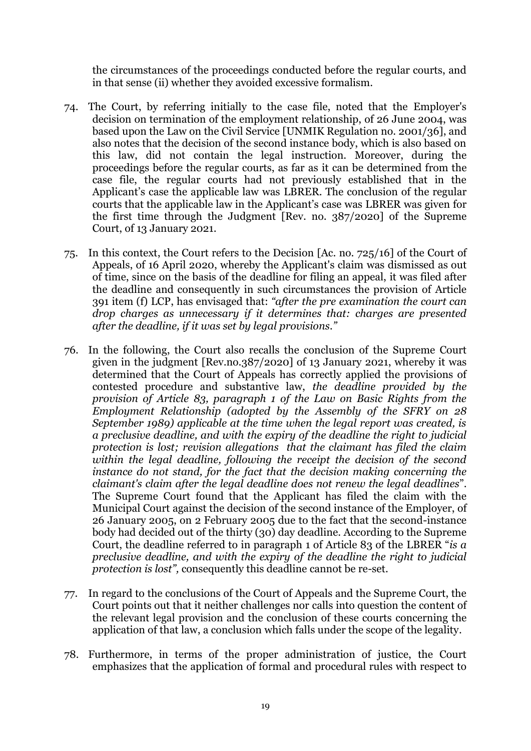the circumstances of the proceedings conducted before the regular courts, and in that sense (ii) whether they avoided excessive formalism.

- 74. The Court, by referring initially to the case file, noted that the Employer's decision on termination of the employment relationship, of 26 June 2004, was based upon the Law on the Civil Service [UNMIK Regulation no. 2001/36], and also notes that the decision of the second instance body, which is also based on this law, did not contain the legal instruction. Moreover, during the proceedings before the regular courts, as far as it can be determined from the case file, the regular courts had not previously established that in the Applicant's case the applicable law was LBRER. The conclusion of the regular courts that the applicable law in the Applicant's case was LBRER was given for the first time through the Judgment [Rev. no. 387/2020] of the Supreme Court, of 13 January 2021.
- 75. In this context, the Court refers to the Decision [Ac. no. 725/16] of the Court of Appeals, of 16 April 2020, whereby the Applicant's claim was dismissed as out of time, since on the basis of the deadline for filing an appeal, it was filed after the deadline and consequently in such circumstances the provision of Article 391 item (f) LCP, has envisaged that: *"after the pre examination the court can drop charges as unnecessary if it determines that: charges are presented after the deadline, if it was set by legal provisions."*
- 76. In the following, the Court also recalls the conclusion of the Supreme Court given in the judgment [Rev.no.387/2020] of 13 January 2021, whereby it was determined that the Court of Appeals has correctly applied the provisions of contested procedure and substantive law, *the deadline provided by the provision of Article 83, paragraph 1 of the Law on Basic Rights from the Employment Relationship (adopted by the Assembly of the SFRY on 28 September 1989) applicable at the time when the legal report was created, is a preclusive deadline, and with the expiry of the deadline the right to judicial protection is lost; revision allegations that the claimant has filed the claim within the legal deadline, following the receipt the decision of the second instance do not stand, for the fact that the decision making concerning the claimant's claim after the legal deadline does not renew the legal deadlines*". The Supreme Court found that the Applicant has filed the claim with the Municipal Court against the decision of the second instance of the Employer, of 26 January 2005, on 2 February 2005 due to the fact that the second-instance body had decided out of the thirty (30) day deadline. According to the Supreme Court, the deadline referred to in paragraph 1 of Article 83 of the LBRER "*is a preclusive deadline, and with the expiry of the deadline the right to judicial protection is lost",* consequently this deadline cannot be re-set.
- 77. In regard to the conclusions of the Court of Appeals and the Supreme Court, the Court points out that it neither challenges nor calls into question the content of the relevant legal provision and the conclusion of these courts concerning the application of that law, a conclusion which falls under the scope of the legality.
- 78. Furthermore, in terms of the proper administration of justice, the Court emphasizes that the application of formal and procedural rules with respect to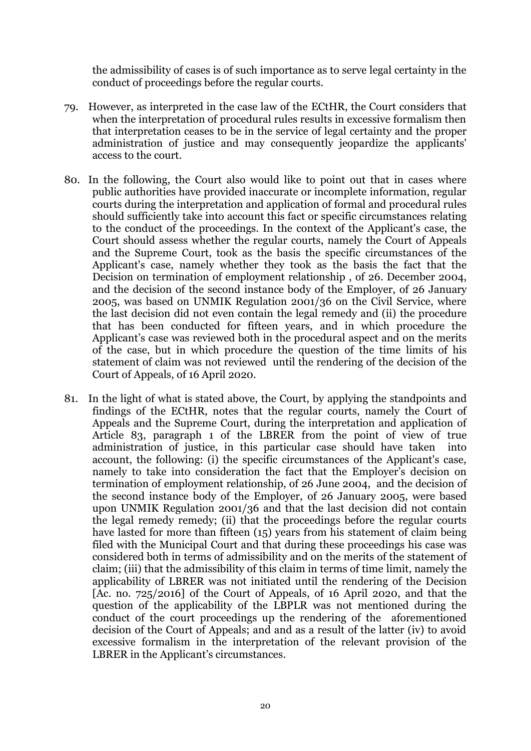the admissibility of cases is of such importance as to serve legal certainty in the conduct of proceedings before the regular courts.

- 79. However, as interpreted in the case law of the ECtHR, the Court considers that when the interpretation of procedural rules results in excessive formalism then that interpretation ceases to be in the service of legal certainty and the proper administration of justice and may consequently jeopardize the applicants' access to the court.
- 80. In the following, the Court also would like to point out that in cases where public authorities have provided inaccurate or incomplete information, regular courts during the interpretation and application of formal and procedural rules should sufficiently take into account this fact or specific circumstances relating to the conduct of the proceedings. In the context of the Applicant's case, the Court should assess whether the regular courts, namely the Court of Appeals and the Supreme Court, took as the basis the specific circumstances of the Applicant's case, namely whether they took as the basis the fact that the Decision on termination of employment relationship , of 26. December 2004, and the decision of the second instance body of the Employer, of 26 January 2005, was based on UNMIK Regulation 2001/36 on the Civil Service, where the last decision did not even contain the legal remedy and (ii) the procedure that has been conducted for fifteen years, and in which procedure the Applicant's case was reviewed both in the procedural aspect and on the merits of the case, but in which procedure the question of the time limits of his statement of claim was not reviewed until the rendering of the decision of the Court of Appeals, of 16 April 2020.
- 81. In the light of what is stated above, the Court, by applying the standpoints and findings of the ECtHR, notes that the regular courts, namely the Court of Appeals and the Supreme Court, during the interpretation and application of Article 83, paragraph 1 of the LBRER from the point of view of true administration of justice, in this particular case should have taken into account, the following: (i) the specific circumstances of the Applicant's case, namely to take into consideration the fact that the Employer's decision on termination of employment relationship, of 26 June 2004, and the decision of the second instance body of the Employer, of 26 January 2005, were based upon UNMIK Regulation 2001/36 and that the last decision did not contain the legal remedy remedy; (ii) that the proceedings before the regular courts have lasted for more than fifteen (15) years from his statement of claim being filed with the Municipal Court and that during these proceedings his case was considered both in terms of admissibility and on the merits of the statement of claim; (iii) that the admissibility of this claim in terms of time limit, namely the applicability of LBRER was not initiated until the rendering of the Decision [Ac. no. 725/2016] of the Court of Appeals, of 16 April 2020, and that the question of the applicability of the LBPLR was not mentioned during the conduct of the court proceedings up the rendering of the aforementioned decision of the Court of Appeals; and and as a result of the latter (iv) to avoid excessive formalism in the interpretation of the relevant provision of the LBRER in the Applicant's circumstances.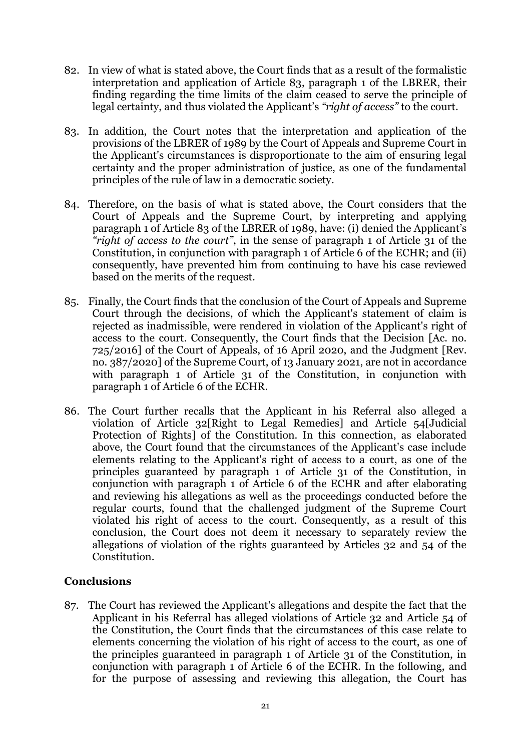- 82. In view of what is stated above, the Court finds that as a result of the formalistic interpretation and application of Article 83, paragraph 1 of the LBRER, their finding regarding the time limits of the claim ceased to serve the principle of legal certainty, and thus violated the Applicant's *"right of access"* to the court.
- 83. In addition, the Court notes that the interpretation and application of the provisions of the LBRER of 1989 by the Court of Appeals and Supreme Court in the Applicant's circumstances is disproportionate to the aim of ensuring legal certainty and the proper administration of justice, as one of the fundamental principles of the rule of law in a democratic society.
- 84. Therefore, on the basis of what is stated above, the Court considers that the Court of Appeals and the Supreme Court, by interpreting and applying paragraph 1 of Article 83 of the LBRER of 1989, have: (i) denied the Applicant's *"right of access to the court"*, in the sense of paragraph 1 of Article 31 of the Constitution, in conjunction with paragraph 1 of Article 6 of the ECHR; and (ii) consequently, have prevented him from continuing to have his case reviewed based on the merits of the request.
- 85. Finally, the Court finds that the conclusion of the Court of Appeals and Supreme Court through the decisions, of which the Applicant's statement of claim is rejected as inadmissible, were rendered in violation of the Applicant's right of access to the court. Consequently, the Court finds that the Decision [Ac. no. 725/2016] of the Court of Appeals, of 16 April 2020, and the Judgment [Rev. no. 387/2020] of the Supreme Court, of 13 January 2021, are not in accordance with paragraph 1 of Article 31 of the Constitution, in conjunction with paragraph 1 of Article 6 of the ECHR.
- 86. The Court further recalls that the Applicant in his Referral also alleged a violation of Article 32[Right to Legal Remedies] and Article 54[Judicial Protection of Rights] of the Constitution. In this connection, as elaborated above, the Court found that the circumstances of the Applicant's case include elements relating to the Applicant's right of access to a court, as one of the principles guaranteed by paragraph 1 of Article 31 of the Constitution, in conjunction with paragraph 1 of Article 6 of the ECHR and after elaborating and reviewing his allegations as well as the proceedings conducted before the regular courts, found that the challenged judgment of the Supreme Court violated his right of access to the court. Consequently, as a result of this conclusion, the Court does not deem it necessary to separately review the allegations of violation of the rights guaranteed by Articles 32 and 54 of the Constitution.

## **Conclusions**

87. The Court has reviewed the Applicant's allegations and despite the fact that the Applicant in his Referral has alleged violations of Article 32 and Article 54 of the Constitution, the Court finds that the circumstances of this case relate to elements concerning the violation of his right of access to the court, as one of the principles guaranteed in paragraph 1 of Article 31 of the Constitution, in conjunction with paragraph 1 of Article 6 of the ECHR. In the following, and for the purpose of assessing and reviewing this allegation, the Court has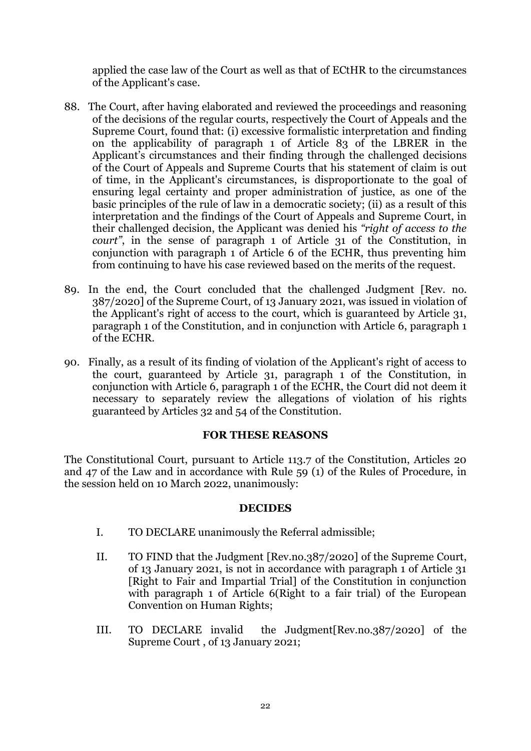applied the case law of the Court as well as that of ECtHR to the circumstances of the Applicant's case.

- 88. The Court, after having elaborated and reviewed the proceedings and reasoning of the decisions of the regular courts, respectively the Court of Appeals and the Supreme Court, found that: (i) excessive formalistic interpretation and finding on the applicability of paragraph 1 of Article 83 of the LBRER in the Applicant's circumstances and their finding through the challenged decisions of the Court of Appeals and Supreme Courts that his statement of claim is out of time, in the Applicant's circumstances, is disproportionate to the goal of ensuring legal certainty and proper administration of justice, as one of the basic principles of the rule of law in a democratic society; (ii) as a result of this interpretation and the findings of the Court of Appeals and Supreme Court, in their challenged decision, the Applicant was denied his *"right of access to the court*", in the sense of paragraph 1 of Article 31 of the Constitution, in conjunction with paragraph 1 of Article 6 of the ECHR, thus preventing him from continuing to have his case reviewed based on the merits of the request.
- 89. In the end, the Court concluded that the challenged Judgment [Rev. no. 387/2020] of the Supreme Court, of 13 January 2021, was issued in violation of the Applicant's right of access to the court, which is guaranteed by Article 31, paragraph 1 of the Constitution, and in conjunction with Article 6, paragraph 1 of the ECHR.
- 90. Finally, as a result of its finding of violation of the Applicant's right of access to the court, guaranteed by Article 31, paragraph 1 of the Constitution, in conjunction with Article 6, paragraph 1 of the ECHR, the Court did not deem it necessary to separately review the allegations of violation of his rights guaranteed by Articles 32 and 54 of the Constitution.

#### **FOR THESE REASONS**

The Constitutional Court, pursuant to Article 113.7 of the Constitution, Articles 20 and 47 of the Law and in accordance with Rule 59 (1) of the Rules of Procedure, in the session held on 10 March 2022, unanimously:

#### **DECIDES**

- I. TO DECLARE unanimously the Referral admissible;
- II. TO FIND that the Judgment [Rev.no.387/2020] of the Supreme Court, of 13 January 2021, is not in accordance with paragraph 1 of Article 31 [Right to Fair and Impartial Trial] of the Constitution in conjunction with paragraph 1 of Article 6(Right to a fair trial) of the European Convention on Human Rights;
- III. TO DECLARE invalid the Judgment[Rev.no.387/2020] of the Supreme Court , of 13 January 2021;